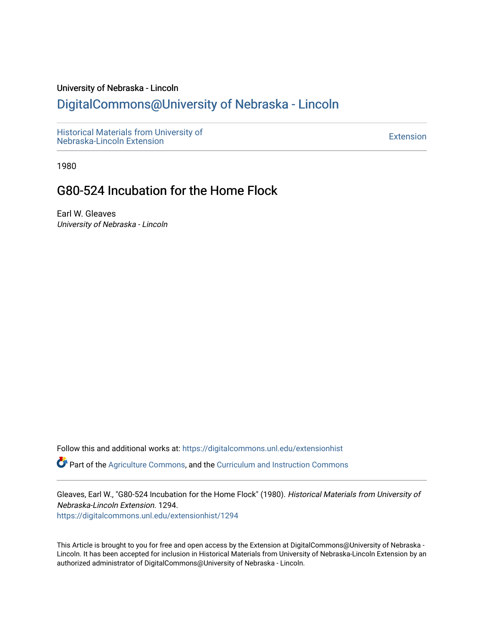#### University of Nebraska - Lincoln

# [DigitalCommons@University of Nebraska - Lincoln](https://digitalcommons.unl.edu/)

[Historical Materials from University of](https://digitalcommons.unl.edu/extensionhist)  nistorical Materials from Oniversity of the control of the control of the [Extension](https://digitalcommons.unl.edu/coop_extension) Extension extension of the<br>Nebraska-Lincoln Extension

1980

# G80-524 Incubation for the Home Flock

Earl W. Gleaves University of Nebraska - Lincoln

Follow this and additional works at: [https://digitalcommons.unl.edu/extensionhist](https://digitalcommons.unl.edu/extensionhist?utm_source=digitalcommons.unl.edu%2Fextensionhist%2F1294&utm_medium=PDF&utm_campaign=PDFCoverPages) 

Part of the [Agriculture Commons](http://network.bepress.com/hgg/discipline/1076?utm_source=digitalcommons.unl.edu%2Fextensionhist%2F1294&utm_medium=PDF&utm_campaign=PDFCoverPages), and the [Curriculum and Instruction Commons](http://network.bepress.com/hgg/discipline/786?utm_source=digitalcommons.unl.edu%2Fextensionhist%2F1294&utm_medium=PDF&utm_campaign=PDFCoverPages) 

Gleaves, Earl W., "G80-524 Incubation for the Home Flock" (1980). Historical Materials from University of Nebraska-Lincoln Extension. 1294.

[https://digitalcommons.unl.edu/extensionhist/1294](https://digitalcommons.unl.edu/extensionhist/1294?utm_source=digitalcommons.unl.edu%2Fextensionhist%2F1294&utm_medium=PDF&utm_campaign=PDFCoverPages) 

This Article is brought to you for free and open access by the Extension at DigitalCommons@University of Nebraska - Lincoln. It has been accepted for inclusion in Historical Materials from University of Nebraska-Lincoln Extension by an authorized administrator of DigitalCommons@University of Nebraska - Lincoln.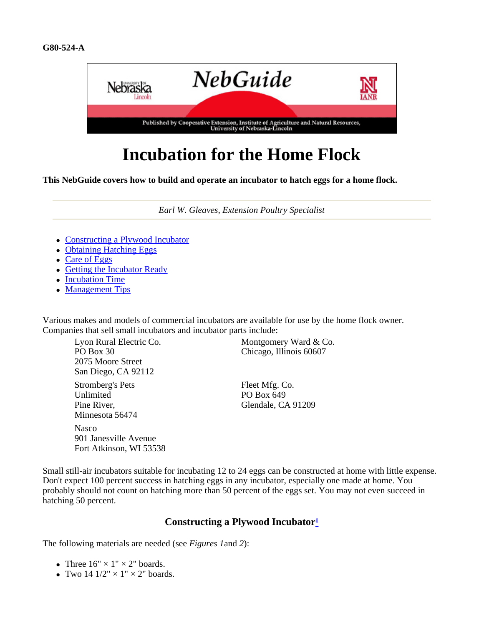

# **Incubation for the Home Flock**

**This NebGuide covers how to build and operate an incubator to hatch eggs for a home flock.**

*Earl W. Gleaves, Extension Poultry Specialist*

- Constructing a Plywood Incubator
- Obtaining Hatching Eggs
- Care of Eggs
- Getting the Incubator Ready
- $\bullet$  Incubation Time
- Management Tips

Various makes and models of commercial incubators are available for use by the home flock owner. Companies that sell small incubators and incubator parts include:

Lyon Rural Electric Co. PO Box 30 2075 Moore Street San Diego, CA 92112

Stromberg's Pets Unlimited Pine River, Minnesota 56474

**Nasco** 901 Janesville Avenue Fort Atkinson, WI 53538

Montgomery Ward & Co. Chicago, Illinois 60607

Fleet Mfg. Co. PO Box 649 Glendale, CA 91209

Small still-air incubators suitable for incubating 12 to 24 eggs can be constructed at home with little expense. Don't expect 100 percent success in hatching eggs in any incubator, especially one made at home. You probably should not count on hatching more than 50 percent of the eggs set. You may not even succeed in hatching 50 percent.

# **Constructing a Plywood Incubator**<sup>1</sup>

The following materials are needed (see *Figures 1*and *2*):

- Three  $16" \times 1" \times 2"$  boards.
- Two 14 1/2"  $\times$  1"  $\times$  2" boards.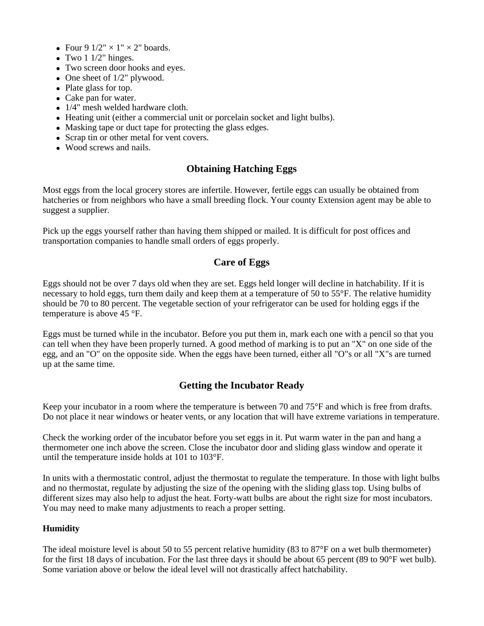- Four  $9 \frac{1}{2}$ "  $\times$  1"  $\times$  2" boards.
- Two  $1 \frac{1}{2}$ " hinges.
- Two screen door hooks and eyes.
- One sheet of  $1/2$ " plywood.
- $\bullet$  Plate glass for top.
- Cake pan for water.
- $\bullet$  1/4" mesh welded hardware cloth.
- Heating unit (either a commercial unit or porcelain socket and light bulbs).
- Masking tape or duct tape for protecting the glass edges.
- Scrap tin or other metal for vent covers.
- Wood screws and nails.

# **Obtaining Hatching Eggs**

Most eggs from the local grocery stores are infertile. However, fertile eggs can usually be obtained from hatcheries or from neighbors who have a small breeding flock. Your county Extension agent may be able to suggest a supplier.

Pick up the eggs yourself rather than having them shipped or mailed. It is difficult for post offices and transportation companies to handle small orders of eggs properly.

# **Care of Eggs**

Eggs should not be over 7 days old when they are set. Eggs held longer will decline in hatchability. If it is necessary to hold eggs, turn them daily and keep them at a temperature of 50 to 55°F. The relative humidity should be 70 to 80 percent. The vegetable section of your refrigerator can be used for holding eggs if the temperature is above 45 °F.

Eggs must be turned while in the incubator. Before you put them in, mark each one with a pencil so that you can tell when they have been properly turned. A good method of marking is to put an "X" on one side of the egg, and an "O" on the opposite side. When the eggs have been turned, either all "O"s or all "X"s are turned up at the same time.

# **Getting the Incubator Ready**

Keep your incubator in a room where the temperature is between 70 and 75°F and which is free from drafts. Do not place it near windows or heater vents, or any location that will have extreme variations in temperature.

Check the working order of the incubator before you set eggs in it. Put warm water in the pan and hang a thermometer one inch above the screen. Close the incubator door and sliding glass window and operate it until the temperature inside holds at 101 to 103°F.

In units with a thermostatic control, adjust the thermostat to regulate the temperature. In those with light bulbs and no thermostat, regulate by adjusting the size of the opening with the sliding glass top. Using bulbs of different sizes may also help to adjust the heat. Forty-watt bulbs are about the right size for most incubators. You may need to make many adjustments to reach a proper setting.

#### **Humidity**

The ideal moisture level is about 50 to 55 percent relative humidity (83 to 87°F on a wet bulb thermometer) for the first 18 days of incubation. For the last three days it should be about 65 percent (89 to 90°F wet bulb). Some variation above or below the ideal level will not drastically affect hatchability.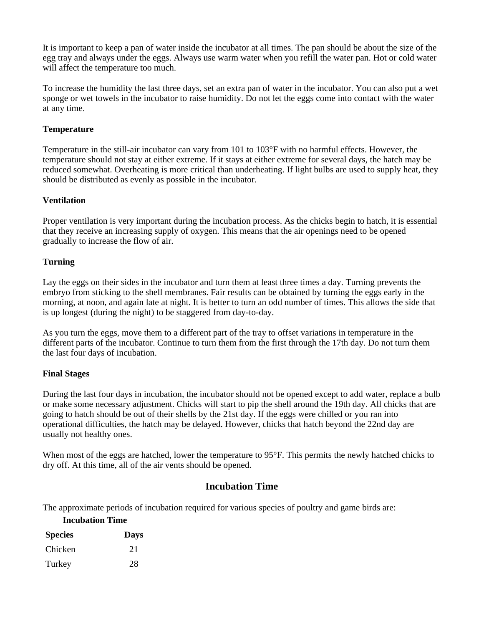It is important to keep a pan of water inside the incubator at all times. The pan should be about the size of the egg tray and always under the eggs. Always use warm water when you refill the water pan. Hot or cold water will affect the temperature too much.

To increase the humidity the last three days, set an extra pan of water in the incubator. You can also put a wet sponge or wet towels in the incubator to raise humidity. Do not let the eggs come into contact with the water at any time.

#### **Temperature**

Temperature in the still-air incubator can vary from 101 to 103°F with no harmful effects. However, the temperature should not stay at either extreme. If it stays at either extreme for several days, the hatch may be reduced somewhat. Overheating is more critical than underheating. If light bulbs are used to supply heat, they should be distributed as evenly as possible in the incubator.

#### **Ventilation**

Proper ventilation is very important during the incubation process. As the chicks begin to hatch, it is essential that they receive an increasing supply of oxygen. This means that the air openings need to be opened gradually to increase the flow of air.

#### **Turning**

Lay the eggs on their sides in the incubator and turn them at least three times a day. Turning prevents the embryo from sticking to the shell membranes. Fair results can be obtained by turning the eggs early in the morning, at noon, and again late at night. It is better to turn an odd number of times. This allows the side that is up longest (during the night) to be staggered from day-to-day.

As you turn the eggs, move them to a different part of the tray to offset variations in temperature in the different parts of the incubator. Continue to turn them from the first through the 17th day. Do not turn them the last four days of incubation.

#### **Final Stages**

During the last four days in incubation, the incubator should not be opened except to add water, replace a bulb or make some necessary adjustment. Chicks will start to pip the shell around the 19th day. All chicks that are going to hatch should be out of their shells by the 21st day. If the eggs were chilled or you ran into operational difficulties, the hatch may be delayed. However, chicks that hatch beyond the 22nd day are usually not healthy ones.

When most of the eggs are hatched, lower the temperature to 95°F. This permits the newly hatched chicks to dry off. At this time, all of the air vents should be opened.

# **Incubation Time**

The approximate periods of incubation required for various species of poultry and game birds are:

| Incupation Time |             |
|-----------------|-------------|
| <b>Species</b>  | <b>Days</b> |
| Chicken         | 21          |
| Turkey          | 28          |

**Incubation Time**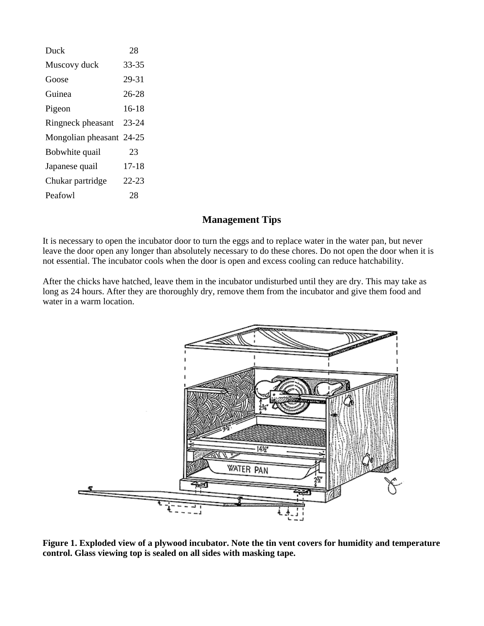| Duck                     | 28      |
|--------------------------|---------|
| Muscovy duck             | 33-35   |
| Goose                    | 29-31   |
| Guinea                   | 26-28   |
| Pigeon                   | 16-18   |
| Ringneck pheasant        | 23-24   |
| Mongolian pheasant 24-25 |         |
| Bobwhite quail           | 23      |
| Japanese quail           | $17-18$ |
| Chukar partridge         | 22-23   |
| Peafowl                  | 28      |

### **Management Tips**

It is necessary to open the incubator door to turn the eggs and to replace water in the water pan, but never leave the door open any longer than absolutely necessary to do these chores. Do not open the door when it is not essential. The incubator cools when the door is open and excess cooling can reduce hatchability.

After the chicks have hatched, leave them in the incubator undisturbed until they are dry. This may take as long as 24 hours. After they are thoroughly dry, remove them from the incubator and give them food and water in a warm location.



**Figure 1. Exploded view of a plywood incubator. Note the tin vent covers for humidity and temperature control. Glass viewing top is sealed on all sides with masking tape.**